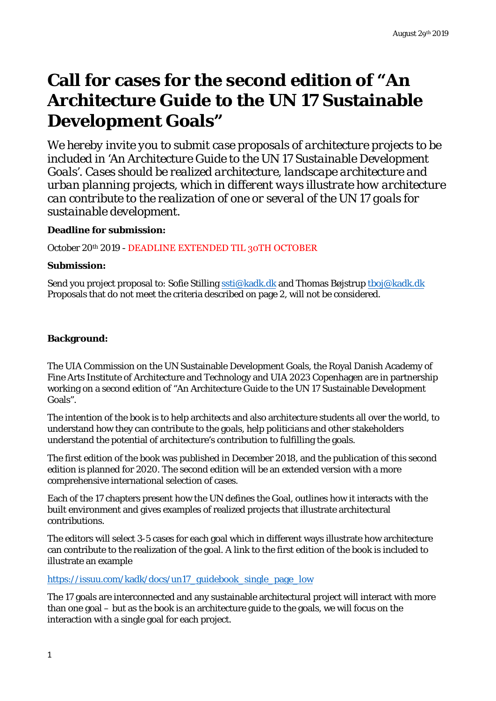# **Call for cases for the second edition of "An Architecture Guide to the UN 17 Sustainable Development Goals"**

*We hereby invite you to submit case proposals of architecture projects to be included in 'An Architecture Guide to the UN 17 Sustainable Development Goals'. Cases should be realized architecture, landscape architecture and urban planning projects, which in different ways illustrate how architecture can contribute to the realization of one or several of the UN 17 goals for sustainable development.*

# **Deadline for submission:**

October 20th 2019 - DEADLINE EXTENDED TIL 30TH OCTOBER

## **Submission:**

Send you project proposal to: Sofie Stilling ssti@kadk.dk and Thomas Bøjstrup tboj@kadk.dk Proposals that do not meet the criteria described on page 2, will not be considered.

# **Background:**

The UIA Commission on the UN Sustainable Development Goals, the Royal Danish Academy of Fine Arts Institute of Architecture and Technology and UIA 2023 Copenhagen are in partnership working on a second edition of "An Architecture Guide to the UN 17 Sustainable Development Goals".

The intention of the book is to help architects and also architecture students all over the world, to understand how they can contribute to the goals, help politicians and other stakeholders understand the potential of architecture's contribution to fulfilling the goals.

The first edition of the book was published in December 2018, and the publication of this second edition is planned for 2020. The second edition will be an extended version with a more comprehensive international selection of cases.

Each of the 17 chapters present how the UN defines the Goal, outlines how it interacts with the built environment and gives examples of realized projects that illustrate architectural contributions.

The editors will select 3-5 cases for each goal which in different ways illustrate how architecture can contribute to the realization of the goal. A link to the first edition of the book is included to illustrate an example

https://issuu.com/kadk/docs/un17\_guidebook\_single\_page\_low

The 17 goals are interconnected and any sustainable architectural project will interact with more than one goal – but as the book is an architecture guide to the goals, we will focus on the interaction with a single goal for each project.